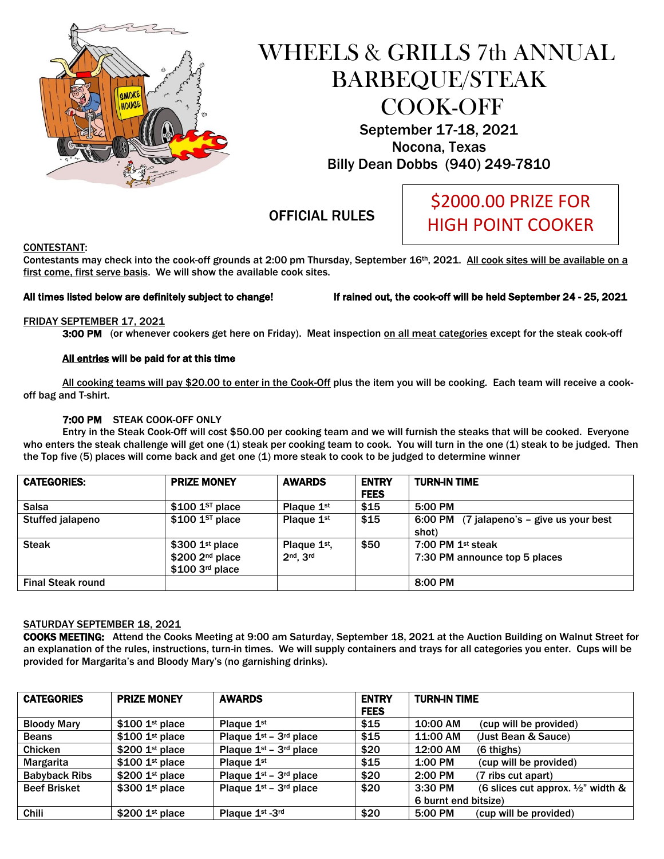

# WHEELS & GRILLS 7th ANNUAL BARBEQUE/STEAK COOK-OFF September 17-18, 2021

Nocona, Texas Billy Dean Dobbs (940) 249-7810

OFFICIAL RULES

# \$2000.00 PRIZE FOR HIGH POINT COOKER

#### CONTESTANT:

Contestants may check into the cook-off grounds at 2:00 pm Thursday, September 16<sup>th</sup>, 2021. All cook sites will be available on a first come, first serve basis. We will show the available cook sites.

All times listed below are definitely subject to change! If rained out, the cook-off will be held September 24 - 25, 2021

#### FRIDAY SEPTEMBER 17, 2021

3:00 PM (or whenever cookers get here on Friday). Meat inspection on all meat categories except for the steak cook-off

#### All entries will be paid for at this time

All cooking teams will pay \$20.00 to enter in the Cook-Off plus the item you will be cooking. Each team will receive a cookoff bag and T-shirt.

#### 7:00 PM STEAK COOK-OFF ONLY

Entry in the Steak Cook-Off will cost \$50.00 per cooking team and we will furnish the steaks that will be cooked. Everyone who enters the steak challenge will get one (1) steak per cooking team to cook. You will turn in the one (1) steak to be judged. Then the Top five (5) places will come back and get one (1) more steak to cook to be judged to determine winner

| <b>CATEGORIES:</b>       | <b>PRIZE MONEY</b>                                                   | <b>AWARDS</b>                             | <b>ENTRY</b><br><b>FEES</b> | <b>TURN-IN TIME</b>                                  |
|--------------------------|----------------------------------------------------------------------|-------------------------------------------|-----------------------------|------------------------------------------------------|
| <b>Salsa</b>             | $$100$ 1st place                                                     | Plaque 1 <sup>st</sup>                    | \$15                        | 5:00 PM                                              |
| <b>Stuffed jalapeno</b>  | $$100$ 1st place                                                     | Plaque 1 <sup>st</sup>                    | \$15                        | 6:00 PM (7 jalapeno's – give us your best<br>shot)   |
| <b>Steak</b>             | $$300$ 1st place<br>$$200$ 2 <sup>nd</sup> place<br>$$100$ 3rd place | Plaque 1 <sup>st</sup> ,<br>$2nd$ . $3rd$ | \$50                        | 7:00 PM $1st$ steak<br>7:30 PM announce top 5 places |
| <b>Final Steak round</b> |                                                                      |                                           |                             | 8:00 PM                                              |

#### SATURDAY SEPTEMBER 18, 2021

COOKS MEETING: Attend the Cooks Meeting at 9:00 am Saturday, September 18, 2021 at the Auction Building on Walnut Street for an explanation of the rules, instructions, turn-in times. We will supply containers and trays for all categories you enter. Cups will be provided for Margarita's and Bloody Mary's (no garnishing drinks).

| <b>CATEGORIES</b>    | <b>PRIZE MONEY</b>          | <b>AWARDS</b>            | <b>ENTRY</b> | <b>TURN-IN TIME</b>                                      |
|----------------------|-----------------------------|--------------------------|--------------|----------------------------------------------------------|
|                      |                             |                          | <b>FEES</b>  |                                                          |
| <b>Bloody Mary</b>   | $$100$ 1st place            | Plaque $1st$             | \$15         | 10:00 AM<br>(cup will be provided)                       |
| <b>Beans</b>         | $$100$ 1st place            | Plaque $1st - 3rd$ place | \$15         | 11:00 AM<br>(Just Bean & Sauce)                          |
| <b>Chicken</b>       | \$200 1 <sup>st</sup> place | Plaque $1st - 3rd$ place | \$20         | 12:00 AM<br>$(6 \text{ things})$                         |
| Margarita            | $$100$ 1st place            | Plaque $1st$             | \$15         | 1:00 PM<br>(cup will be provided)                        |
| <b>Babyback Ribs</b> | $$200$ 1st place            | Plaque $1st - 3rd$ place | \$20         | $2:00$ PM<br>(7 ribs cut apart)                          |
| <b>Beef Brisket</b>  | \$300 1st place             | Plaque $1st - 3rd$ place | \$20         | 3:30 PM<br>(6 slices cut approx. $\frac{1}{2}$ " width & |
|                      |                             |                          |              | 6 burnt end bitsize)                                     |
| <b>Chili</b>         | $$200$ 1st place            | Plaque 1st -3rd          | \$20         | 5:00 PM<br>(cup will be provided)                        |